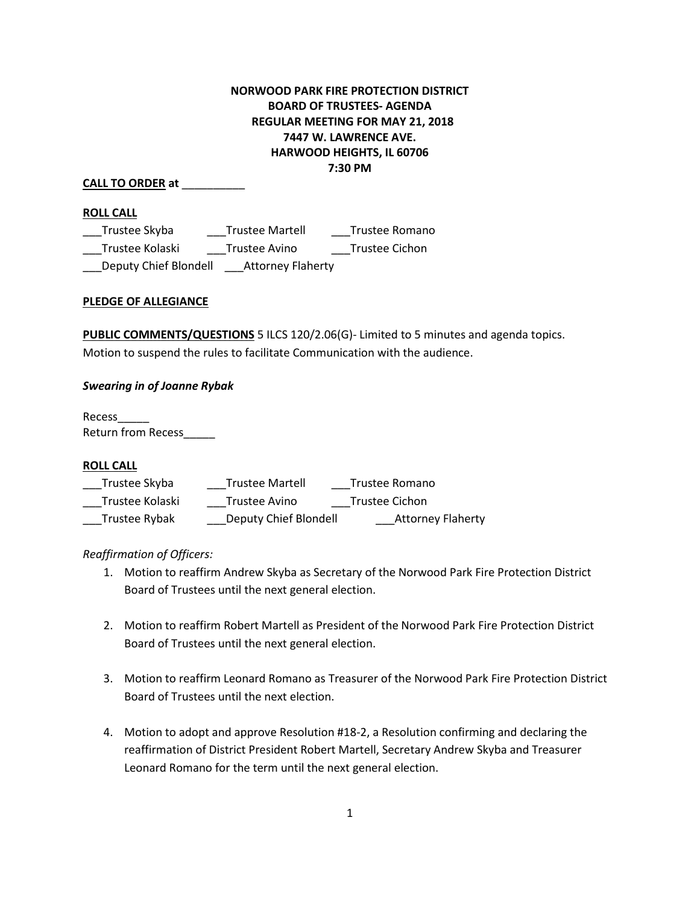# **NORWOOD PARK FIRE PROTECTION DISTRICT BOARD OF TRUSTEES- AGENDA REGULAR MEETING FOR MAY 21, 2018 7447 W. LAWRENCE AVE. HARWOOD HEIGHTS, IL 60706 7:30 PM**

# **CALL TO ORDER at** \_\_\_\_\_\_\_\_\_\_

## **ROLL CALL**

\_\_Trustee Skyba \_\_\_\_\_\_\_\_Trustee Martell \_\_\_\_\_\_\_Trustee Romano \_\_\_Trustee Kolaski \_\_\_Trustee Avino \_\_\_Trustee Cichon \_\_\_Deputy Chief Blondell \_\_\_Attorney Flaherty

## **PLEDGE OF ALLEGIANCE**

**PUBLIC COMMENTS/QUESTIONS** 5 ILCS 120/2.06(G)- Limited to 5 minutes and agenda topics. Motion to suspend the rules to facilitate Communication with the audience.

## *Swearing in of Joanne Rybak*

Recess\_\_\_\_\_ Return from Recess\_\_\_\_\_

## **ROLL CALL**

| Trustee Skyba   | <b>Trustee Martell</b> | Trustee Romano           |
|-----------------|------------------------|--------------------------|
| Trustee Kolaski | Trustee Avino          | Trustee Cichon           |
| Trustee Rybak   | Deputy Chief Blondell  | <b>Attorney Flaherty</b> |

# *Reaffirmation of Officers:*

- 1. Motion to reaffirm Andrew Skyba as Secretary of the Norwood Park Fire Protection District Board of Trustees until the next general election.
- 2. Motion to reaffirm Robert Martell as President of the Norwood Park Fire Protection District Board of Trustees until the next general election.
- 3. Motion to reaffirm Leonard Romano as Treasurer of the Norwood Park Fire Protection District Board of Trustees until the next election.
- 4. Motion to adopt and approve Resolution #18-2, a Resolution confirming and declaring the reaffirmation of District President Robert Martell, Secretary Andrew Skyba and Treasurer Leonard Romano for the term until the next general election.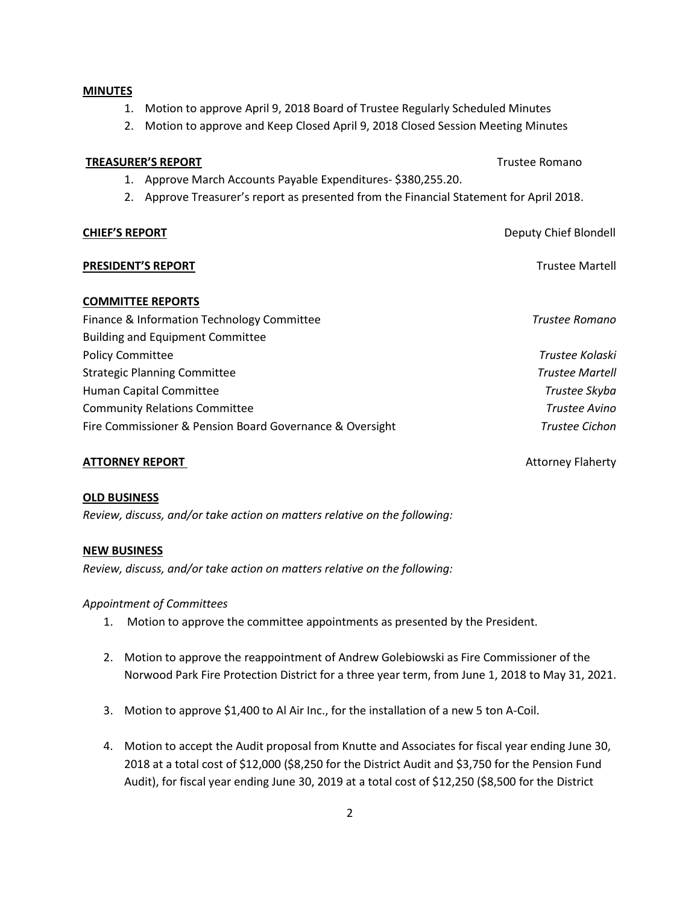### **MINUTES**

- 1. Motion to approve April 9, 2018 Board of Trustee Regularly Scheduled Minutes
- 2. Motion to approve and Keep Closed April 9, 2018 Closed Session Meeting Minutes

### **TREASURER'S REPORT** TREASURER'S **REPORT**

- 1. Approve March Accounts Payable Expenditures- \$380,255.20.
- 2. Approve Treasurer's report as presented from the Financial Statement for April 2018.

### **CHIEF'S REPORT CHIEF'S REPORT Deputy Chief Blondell**

### **PRESIDENT'S REPORT** THE RESIDENT'S REPORT

### **COMMITTEE REPORTS**

| Finance & Information Technology Committee               | Trustee Romano         |
|----------------------------------------------------------|------------------------|
| <b>Building and Equipment Committee</b>                  |                        |
| <b>Policy Committee</b>                                  | Trustee Kolaski        |
| <b>Strategic Planning Committee</b>                      | <b>Trustee Martell</b> |
| Human Capital Committee                                  | Trustee Skyba          |
| <b>Community Relations Committee</b>                     | Trustee Avino          |
| Fire Commissioner & Pension Board Governance & Oversight | <b>Trustee Cichon</b>  |

### **ATTORNEY REPORT 1988 CONTROLLER SEPTIME ATTORNEY REPORT AND REPORT AND REPORT ATTORNEY REPORT AND REPORT ATTORNEY**

### **OLD BUSINESS**

*Review, discuss, and/or take action on matters relative on the following:*

### **NEW BUSINESS**

*Review, discuss, and/or take action on matters relative on the following:*

### *Appointment of Committees*

- 1. Motion to approve the committee appointments as presented by the President.
- 2. Motion to approve the reappointment of Andrew Golebiowski as Fire Commissioner of the Norwood Park Fire Protection District for a three year term, from June 1, 2018 to May 31, 2021.
- 3. Motion to approve \$1,400 to Al Air Inc., for the installation of a new 5 ton A-Coil.
- 4. Motion to accept the Audit proposal from Knutte and Associates for fiscal year ending June 30, 2018 at a total cost of \$12,000 (\$8,250 for the District Audit and \$3,750 for the Pension Fund Audit), for fiscal year ending June 30, 2019 at a total cost of \$12,250 (\$8,500 for the District